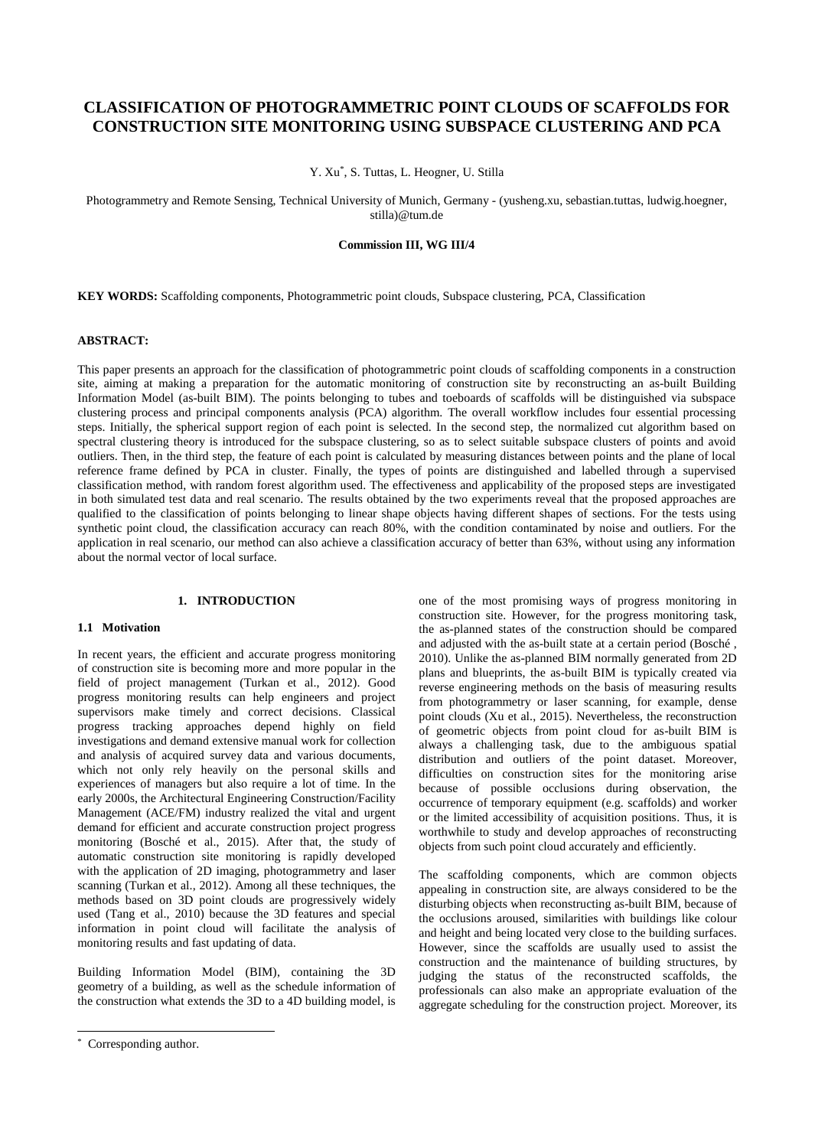# **CLASSIFICATION OF PHOTOGRAMMETRIC POINT CLOUDS OF SCAFFOLDS FOR CONSTRUCTION SITE MONITORING USING SUBSPACE CLUSTERING AND PCA**

Y. Xu\* , S. Tuttas, L. Heogner, U. Stilla

Photogrammetry and Remote Sensing, Technical University of Munich, Germany - (yusheng.xu, sebastian.tuttas, ludwig.hoegner, stilla)@tum.de

## **Commission III, WG III/4**

**KEY WORDS:** Scaffolding components, Photogrammetric point clouds, Subspace clustering, PCA, Classification

# **ABSTRACT:**

This paper presents an approach for the classification of photogrammetric point clouds of scaffolding components in a construction site, aiming at making a preparation for the automatic monitoring of construction site by reconstructing an as-built Building Information Model (as-built BIM). The points belonging to tubes and toeboards of scaffolds will be distinguished via subspace clustering process and principal components analysis (PCA) algorithm. The overall workflow includes four essential processing steps. Initially, the spherical support region of each point is selected. In the second step, the normalized cut algorithm based on spectral clustering theory is introduced for the subspace clustering, so as to select suitable subspace clusters of points and avoid outliers. Then, in the third step, the feature of each point is calculated by measuring distances between points and the plane of local reference frame defined by PCA in cluster. Finally, the types of points are distinguished and labelled through a supervised classification method, with random forest algorithm used. The effectiveness and applicability of the proposed steps are investigated in both simulated test data and real scenario. The results obtained by the two experiments reveal that the proposed approaches are qualified to the classification of points belonging to linear shape objects having different shapes of sections. For the tests using synthetic point cloud, the classification accuracy can reach 80%, with the condition contaminated by noise and outliers. For the application in real scenario, our method can also achieve a classification accuracy of better than 63%, without using any information about the normal vector of local surface.

#### **1. INTRODUCTION**

#### **1.1 Motivation**

In recent years, the efficient and accurate progress monitoring of construction site is becoming more and more popular in the field of project management (Turkan et al., 2012). Good progress monitoring results can help engineers and project supervisors make timely and correct decisions. Classical progress tracking approaches depend highly on field investigations and demand extensive manual work for collection and analysis of acquired survey data and various documents, which not only rely heavily on the personal skills and experiences of managers but also require a lot of time. In the early 2000s, the Architectural Engineering Construction/Facility Management (ACE/FM) industry realized the vital and urgent demand for efficient and accurate construction project progress monitoring (Bosché et al., 2015). After that, the study of automatic construction site monitoring is rapidly developed with the application of 2D imaging, photogrammetry and laser scanning (Turkan et al., 2012). Among all these techniques, the methods based on 3D point clouds are progressively widely used (Tang et al., 2010) because the 3D features and special information in point cloud will facilitate the analysis of monitoring results and fast updating of data.

Building Information Model (BIM), containing the 3D geometry of a building, as well as the schedule information of the construction what extends the 3D to a 4D building model, is

 $\overline{a}$ 

one of the most promising ways of progress monitoring in construction site. However, for the progress monitoring task, the as-planned states of the construction should be compared and adjusted with the as-built state at a certain period (Bosché, 2010). Unlike the as-planned BIM normally generated from 2D plans and blueprints, the as-built BIM is typically created via reverse engineering methods on the basis of measuring results from photogrammetry or laser scanning, for example, dense point clouds (Xu et al., 2015). Nevertheless, the reconstruction of geometric objects from point cloud for as-built BIM is always a challenging task, due to the ambiguous spatial distribution and outliers of the point dataset. Moreover, difficulties on construction sites for the monitoring arise because of possible occlusions during observation, the occurrence of temporary equipment (e.g. scaffolds) and worker or the limited accessibility of acquisition positions. Thus, it is worthwhile to study and develop approaches of reconstructing objects from such point cloud accurately and efficiently.

The scaffolding components, which are common objects appealing in construction site, are always considered to be the disturbing objects when reconstructing as-built BIM, because of the occlusions aroused, similarities with buildings like colour and height and being located very close to the building surfaces. However, since the scaffolds are usually used to assist the construction and the maintenance of building structures, by judging the status of the reconstructed scaffolds, the professionals can also make an appropriate evaluation of the aggregate scheduling for the construction project. Moreover, its

<sup>\*</sup> Corresponding author.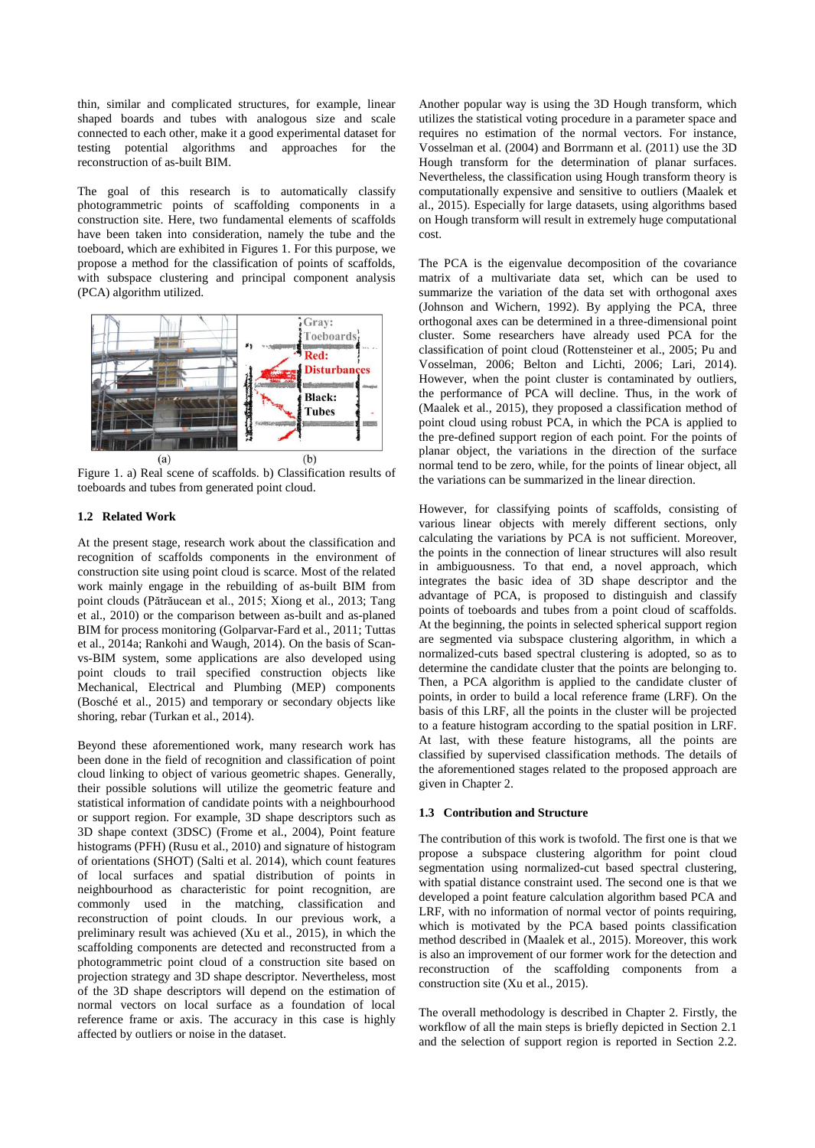thin, similar and complicated structures, for example, linear shaped boards and tubes with analogous size and scale connected to each other, make it a good experimental dataset for testing potential algorithms and approaches for the reconstruction of as-built BIM.

The goal of this research is to automatically classify photogrammetric points of scaffolding components in a construction site. Here, two fundamental elements of scaffolds have been taken into consideration, namely the tube and the toeboard, which are exhibited in Figures 1. For this purpose, we propose a method for the classification of points of scaffolds, with subspace clustering and principal component analysis (PCA) algorithm utilized.



Figure 1. a) Real scene of scaffolds. b) Classification results of toeboards and tubes from generated point cloud.

## **1.2 Related Work**

At the present stage, research work about the classification and recognition of scaffolds components in the environment of construction site using point cloud is scarce. Most of the related work mainly engage in the rebuilding of as-built BIM from point clouds (Pătrăucean et al., 2015; Xiong et al., 2013; Tang et al., 2010) or the comparison between as-built and as-planed BIM for process monitoring (Golparvar-Fard et al., 2011; Tuttas et al., 2014a; Rankohi and Waugh, 2014). On the basis of Scanvs-BIM system, some applications are also developed using point clouds to trail specified construction objects like Mechanical, Electrical and Plumbing (MEP) components (Bosché et al., 2015) and temporary or secondary objects like shoring, rebar (Turkan et al., 2014).

Beyond these aforementioned work, many research work has been done in the field of recognition and classification of point cloud linking to object of various geometric shapes. Generally, their possible solutions will utilize the geometric feature and statistical information of candidate points with a neighbourhood or support region. For example, 3D shape descriptors such as 3D shape context (3DSC) (Frome et al., 2004), Point feature histograms (PFH) (Rusu et al., 2010) and signature of histogram of orientations (SHOT) (Salti et al. 2014), which count features of local surfaces and spatial distribution of points in neighbourhood as characteristic for point recognition, are commonly used in the matching, classification and reconstruction of point clouds. In our previous work, a preliminary result was achieved (Xu et al., 2015), in which the scaffolding components are detected and reconstructed from a photogrammetric point cloud of a construction site based on projection strategy and 3D shape descriptor. Nevertheless, most of the 3D shape descriptors will depend on the estimation of normal vectors on local surface as a foundation of local reference frame or axis. The accuracy in this case is highly affected by outliers or noise in the dataset.

Another popular way is using the 3D Hough transform, which utilizes the statistical voting procedure in a parameter space and requires no estimation of the normal vectors. For instance, Vosselman et al. (2004) and Borrmann et al. (2011) use the 3D Hough transform for the determination of planar surfaces. Nevertheless, the classification using Hough transform theory is computationally expensive and sensitive to outliers (Maalek et al., 2015). Especially for large datasets, using algorithms based on Hough transform will result in extremely huge computational cost.

The PCA is the eigenvalue decomposition of the covariance matrix of a multivariate data set, which can be used to summarize the variation of the data set with orthogonal axes (Johnson and Wichern, 1992). By applying the PCA, three orthogonal axes can be determined in a three-dimensional point cluster. Some researchers have already used PCA for the classification of point cloud (Rottensteiner et al., 2005; Pu and Vosselman, 2006; Belton and Lichti, 2006; Lari, 2014). However, when the point cluster is contaminated by outliers, the performance of PCA will decline. Thus, in the work of (Maalek et al., 2015), they proposed a classification method of point cloud using robust PCA, in which the PCA is applied to the pre-defined support region of each point. For the points of planar object, the variations in the direction of the surface normal tend to be zero, while, for the points of linear object, all the variations can be summarized in the linear direction.

However, for classifying points of scaffolds, consisting of various linear objects with merely different sections, only calculating the variations by PCA is not sufficient. Moreover, the points in the connection of linear structures will also result in ambiguousness. To that end, a novel approach, which integrates the basic idea of 3D shape descriptor and the advantage of PCA, is proposed to distinguish and classify points of toeboards and tubes from a point cloud of scaffolds. At the beginning, the points in selected spherical support region are segmented via subspace clustering algorithm, in which a normalized-cuts based spectral clustering is adopted, so as to determine the candidate cluster that the points are belonging to. Then, a PCA algorithm is applied to the candidate cluster of points, in order to build a local reference frame (LRF). On the basis of this LRF, all the points in the cluster will be projected to a feature histogram according to the spatial position in LRF. At last, with these feature histograms, all the points are classified by supervised classification methods. The details of the aforementioned stages related to the proposed approach are given in Chapter 2.

## **1.3 Contribution and Structure**

The contribution of this work is twofold. The first one is that we propose a subspace clustering algorithm for point cloud segmentation using normalized-cut based spectral clustering, with spatial distance constraint used. The second one is that we developed a point feature calculation algorithm based PCA and LRF, with no information of normal vector of points requiring. which is motivated by the PCA based points classification method described in (Maalek et al., 2015). Moreover, this work is also an improvement of our former work for the detection and reconstruction of the scaffolding components from a construction site (Xu et al., 2015).

The overall methodology is described in Chapter 2. Firstly, the workflow of all the main steps is briefly depicted in Section 2.1 and the selection of support region is reported in Section 2.2.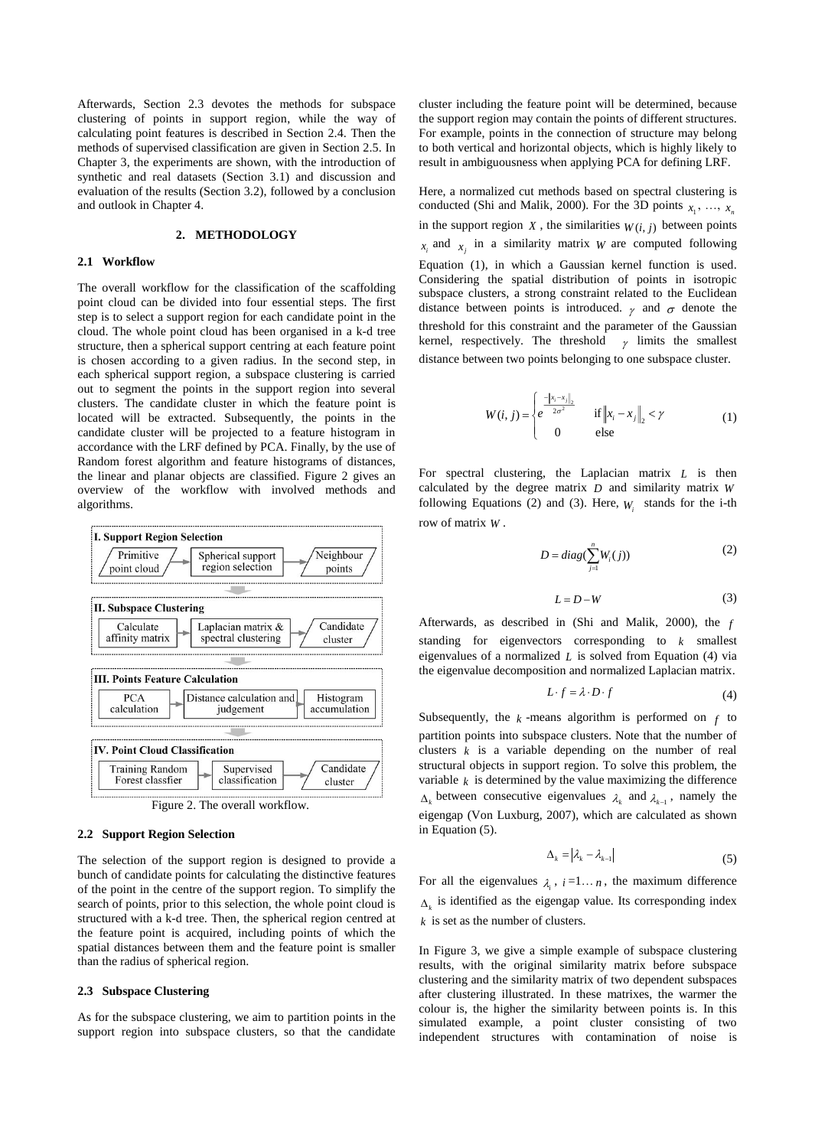Afterwards, Section 2.3 devotes the methods for subspace clustering of points in support region, while the way of calculating point features is described in Section 2.4. Then the methods of supervised classification are given in Section 2.5. In Chapter 3, the experiments are shown, with the introduction of synthetic and real datasets (Section 3.1) and discussion and evaluation of the results (Section 3.2), followed by a conclusion and outlook in Chapter 4.

# **2. METHODOLOGY**

## **2.1 Workflow**

The overall workflow for the classification of the scaffolding point cloud can be divided into four essential steps. The first step is to select a support region for each candidate point in the cloud. The whole point cloud has been organised in a k-d tree structure, then a spherical support centring at each feature point is chosen according to a given radius. In the second step, in each spherical support region, a subspace clustering is carried out to segment the points in the support region into several clusters. The candidate cluster in which the feature point is located will be extracted. Subsequently, the points in the candidate cluster will be projected to a feature histogram in accordance with the LRF defined by PCA. Finally, by the use of Random forest algorithm and feature histograms of distances, the linear and planar objects are classified. Figure 2 gives an overview of the workflow with involved methods and algorithms.



## **2.2 Support Region Selection**

The selection of the support region is designed to provide a bunch of candidate points for calculating the distinctive features of the point in the centre of the support region. To simplify the search of points, prior to this selection, the whole point cloud is structured with a k-d tree. Then, the spherical region centred at the feature point is acquired, including points of which the spatial distances between them and the feature point is smaller than the radius of spherical region.

# **2.3 Subspace Clustering**

As for the subspace clustering, we aim to partition points in the support region into subspace clusters, so that the candidate cluster including the feature point will be determined, because the support region may contain the points of different structures. For example, points in the connection of structure may belong to both vertical and horizontal objects, which is highly likely to result in ambiguousness when applying PCA for defining LRF.

Here, a normalized cut methods based on spectral clustering is conducted (Shi and Malik, 2000). For the 3D points  $x_1, \ldots, x_n$ in the support region  $X$ , the similarities  $W(i, j)$  between points  $x_i$  and  $x_j$  in a similarity matrix *W* are computed following Equation (1), in which a Gaussian kernel function is used. Considering the spatial distribution of points in isotropic subspace clusters, a strong constraint related to the Euclidean distance between points is introduced.  $\gamma$  and  $\sigma$  denote the threshold for this constraint and the parameter of the Gaussian kernel, respectively. The threshold  $\gamma$  limits the smallest distance between two points belonging to one subspace cluster.

$$
W(i, j) = \begin{cases} e^{-\|x_i - x_j\|_2} & \text{if } \|x_i - x_j\|_2 < \gamma \\ 0 & \text{else} \end{cases}
$$
(1)

For spectral clustering, the Laplacian matrix *L* is then calculated by the degree matrix *D* and similarity matrix *W* following Equations (2) and (3). Here,  $W_i$  stands for the i-th row of matrix *<sup>W</sup>* .

$$
D = diag(\sum_{j=1}^{n} W_i(j))
$$
 (2)

$$
L = D - W \tag{3}
$$

Afterwards, as described in (Shi and Malik, 2000), the *f* standing for eigenvectors corresponding to *k* smallest eigenvalues of a normalized *L* is solved from Equation (4) via the eigenvalue decomposition and normalized Laplacian matrix.

$$
L \cdot f = \lambda \cdot D \cdot f \tag{4}
$$

Subsequently, the  $k$ -means algorithm is performed on  $f$  to partition points into subspace clusters. Note that the number of clusters  $k$  is a variable depending on the number of real structural objects in support region. To solve this problem, the variable  $k$  is determined by the value maximizing the difference  $\Delta_k$  between consecutive eigenvalues  $\lambda_k$  and  $\lambda_{k-1}$ , namely the eigengap (Von Luxburg, 2007), which are calculated as shown in Equation (5).

$$
\Delta_k = |\lambda_k - \lambda_{k-1}| \tag{5}
$$

For all the eigenvalues  $\lambda_i$ ,  $i=1...n$ , the maximum difference  $\Delta_k$  is identified as the eigengap value. Its corresponding index *k* is set as the number of clusters.

In Figure 3, we give a simple example of subspace clustering results, with the original similarity matrix before subspace clustering and the similarity matrix of two dependent subspaces after clustering illustrated. In these matrixes, the warmer the colour is, the higher the similarity between points is. In this simulated example, a point cluster consisting of two independent structures with contamination of noise is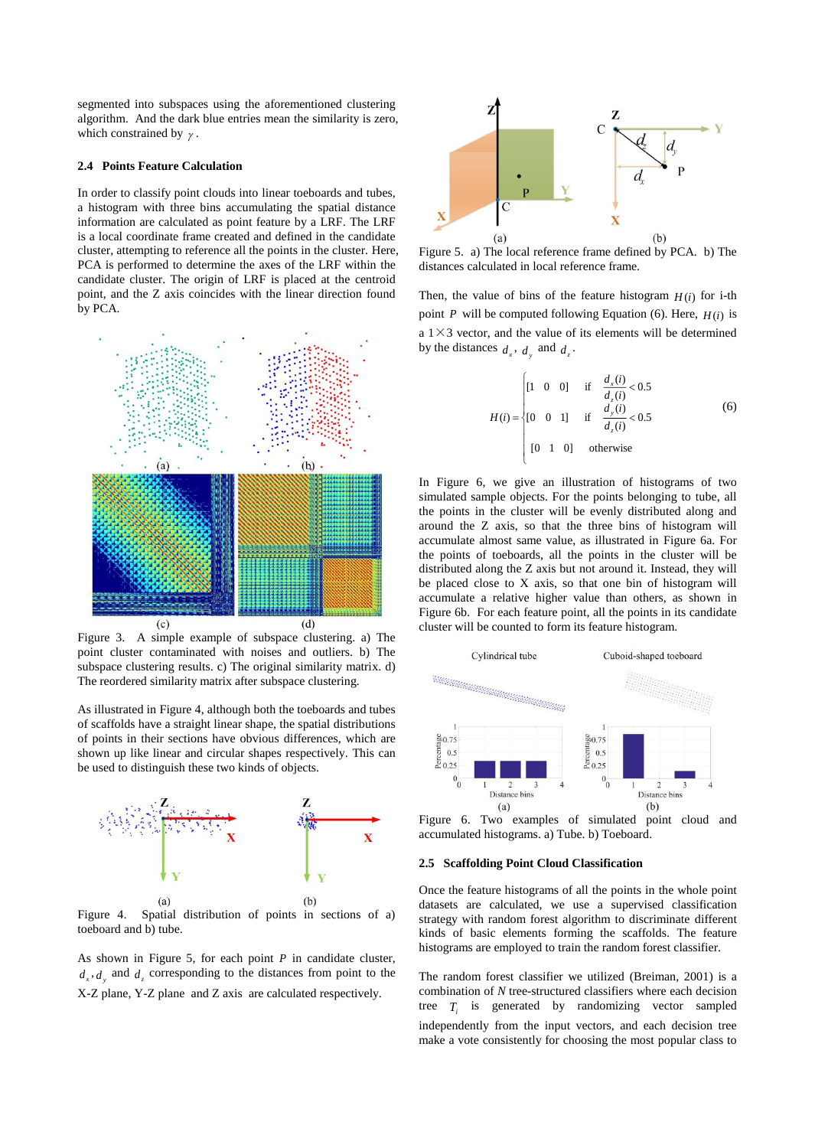segmented into subspaces using the aforementioned clustering algorithm. And the dark blue entries mean the similarity is zero, which constrained by  $\gamma$ .

## **2.4 Points Feature Calculation**

In order to classify point clouds into linear toeboards and tubes, a histogram with three bins accumulating the spatial distance information are calculated as point feature by a LRF. The LRF is a local coordinate frame created and defined in the candidate cluster, attempting to reference all the points in the cluster. Here, PCA is performed to determine the axes of the LRF within the candidate cluster. The origin of LRF is placed at the centroid point, and the Z axis coincides with the linear direction found by PCA.



Figure 3. A simple example of subspace clustering. a) The point cluster contaminated with noises and outliers. b) The subspace clustering results. c) The original similarity matrix. d) The reordered similarity matrix after subspace clustering.

As illustrated in Figure 4, although both the toeboards and tubes of scaffolds have a straight linear shape, the spatial distributions of points in their sections have obvious differences, which are shown up like linear and circular shapes respectively. This can be used to distinguish these two kinds of objects.



Figure 4. Spatial distribution of points in sections of a) toeboard and b) tube.

As shown in Figure 5, for each point *P* in candidate cluster,  $d_x$ ,  $d_y$  and  $d_z$  corresponding to the distances from point to the X-Z plane, Y-Z plane and Z axis are calculated respectively.



Figure 5. a) The local reference frame defined by PCA. b) The distances calculated in local reference frame.

Then, the value of bins of the feature histogram  $H(i)$  for i-th point *P* will be computed following Equation (6). Here,  $H(i)$  is a  $1 \times 3$  vector, and the value of its elements will be determined by the distances  $d_x$ ,  $d_y$  and  $d_z$ .

$$
H(i) = \begin{cases} [1 \ 0 \ 0] & \text{if} \quad \frac{d_x(i)}{d_z(i)} < 0.5\\ [0 \ 0 \ 1] & \text{if} \quad \frac{d_y(i)}{d_z(i)} < 0.5\\ [0 \ 1 \ 0] & \text{otherwise} \end{cases}
$$
(6)

In Figure 6, we give an illustration of histograms of two simulated sample objects. For the points belonging to tube, all the points in the cluster will be evenly distributed along and around the Z axis, so that the three bins of histogram will accumulate almost same value, as illustrated in Figure 6a. For the points of toeboards, all the points in the cluster will be distributed along the Z axis but not around it. Instead, they will be placed close to X axis, so that one bin of histogram will accumulate a relative higher value than others, as shown in Figure 6b. For each feature point, all the points in its candidate cluster will be counted to form its feature histogram.



Figure 6. Two examples of simulated point cloud and accumulated histograms. a) Tube. b) Toeboard.

#### **2.5 Scaffolding Point Cloud Classification**

Once the feature histograms of all the points in the whole point datasets are calculated, we use a supervised classification strategy with random forest algorithm to discriminate different kinds of basic elements forming the scaffolds. The feature histograms are employed to train the random forest classifier.

The random forest classifier we utilized (Breiman, 2001) is a combination of *N* tree-structured classifiers where each decision tree  $T_i$  is generated by randomizing vector sampled independently from the input vectors, and each decision tree make a vote consistently for choosing the most popular class to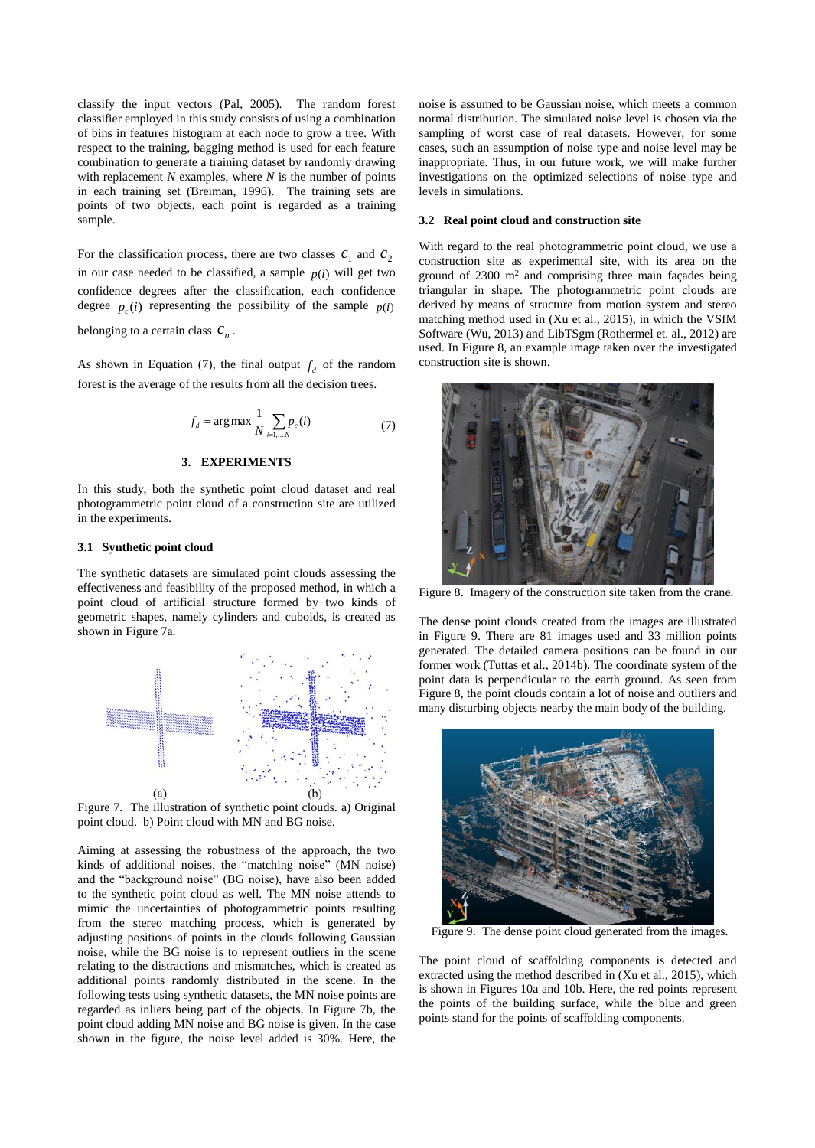classify the input vectors (Pal, 2005). The random forest classifier employed in this study consists of using a combination of bins in features histogram at each node to grow a tree. With respect to the training, bagging method is used for each feature combination to generate a training dataset by randomly drawing with replacement *N* examples, where *N* is the number of points in each training set (Breiman, 1996). The training sets are points of two objects, each point is regarded as a training sample.

For the classification process, there are two classes  $c_1$  and  $c_2$ in our case needed to be classified, a sample  $p(i)$  will get two confidence degrees after the classification, each confidence degree  $p_c(i)$  representing the possibility of the sample  $p(i)$ *c*

belonging to a certain class  $c_n$ .

As shown in Equation (7), the final output  $f_d$  of the random forest is the average of the results from all the decision trees.

$$
f_d = \arg \max \frac{1}{N} \sum_{i=1,\dots,N} p_c(i) \tag{7}
$$

## **3. EXPERIMENTS**

In this study, both the synthetic point cloud dataset and real photogrammetric point cloud of a construction site are utilized in the experiments.

## **3.1 Synthetic point cloud**

The synthetic datasets are simulated point clouds assessing the effectiveness and feasibility of the proposed method, in which a point cloud of artificial structure formed by two kinds of geometric shapes, namely cylinders and cuboids, is created as shown in Figure 7a.



Figure 7. The illustration of synthetic point clouds. a) Original point cloud. b) Point cloud with MN and BG noise.

Aiming at assessing the robustness of the approach, the two kinds of additional noises, the "matching noise" (MN noise) and the "background noise" (BG noise), have also been added to the synthetic point cloud as well. The MN noise attends to mimic the uncertainties of photogrammetric points resulting from the stereo matching process, which is generated by adjusting positions of points in the clouds following Gaussian noise, while the BG noise is to represent outliers in the scene relating to the distractions and mismatches, which is created as additional points randomly distributed in the scene. In the following tests using synthetic datasets, the MN noise points are regarded as inliers being part of the objects. In Figure 7b, the point cloud adding MN noise and BG noise is given. In the case shown in the figure, the noise level added is 30%. Here, the noise is assumed to be Gaussian noise, which meets a common normal distribution. The simulated noise level is chosen via the sampling of worst case of real datasets. However, for some cases, such an assumption of noise type and noise level may be inappropriate. Thus, in our future work, we will make further investigations on the optimized selections of noise type and levels in simulations.

#### **3.2 Real point cloud and construction site**

With regard to the real photogrammetric point cloud, we use a construction site as experimental site, with its area on the ground of  $2300 \text{ m}^2$  and comprising three main façades being triangular in shape. The photogrammetric point clouds are derived by means of structure from motion system and stereo matching method used in (Xu et al., 2015), in which the VSfM Software (Wu, 2013) and LibTSgm (Rothermel et. al., 2012) are used. In Figure 8, an example image taken over the investigated construction site is shown.



Figure 8. Imagery of the construction site taken from the crane.

The dense point clouds created from the images are illustrated in Figure 9. There are 81 images used and 33 million points generated. The detailed camera positions can be found in our former work (Tuttas et al., 2014b). The coordinate system of the point data is perpendicular to the earth ground. As seen from Figure 8, the point clouds contain a lot of noise and outliers and many disturbing objects nearby the main body of the building.



Figure 9. The dense point cloud generated from the images.

The point cloud of scaffolding components is detected and extracted using the method described in (Xu et al., 2015), which is shown in Figures 10a and 10b. Here, the red points represent the points of the building surface, while the blue and green points stand for the points of scaffolding components.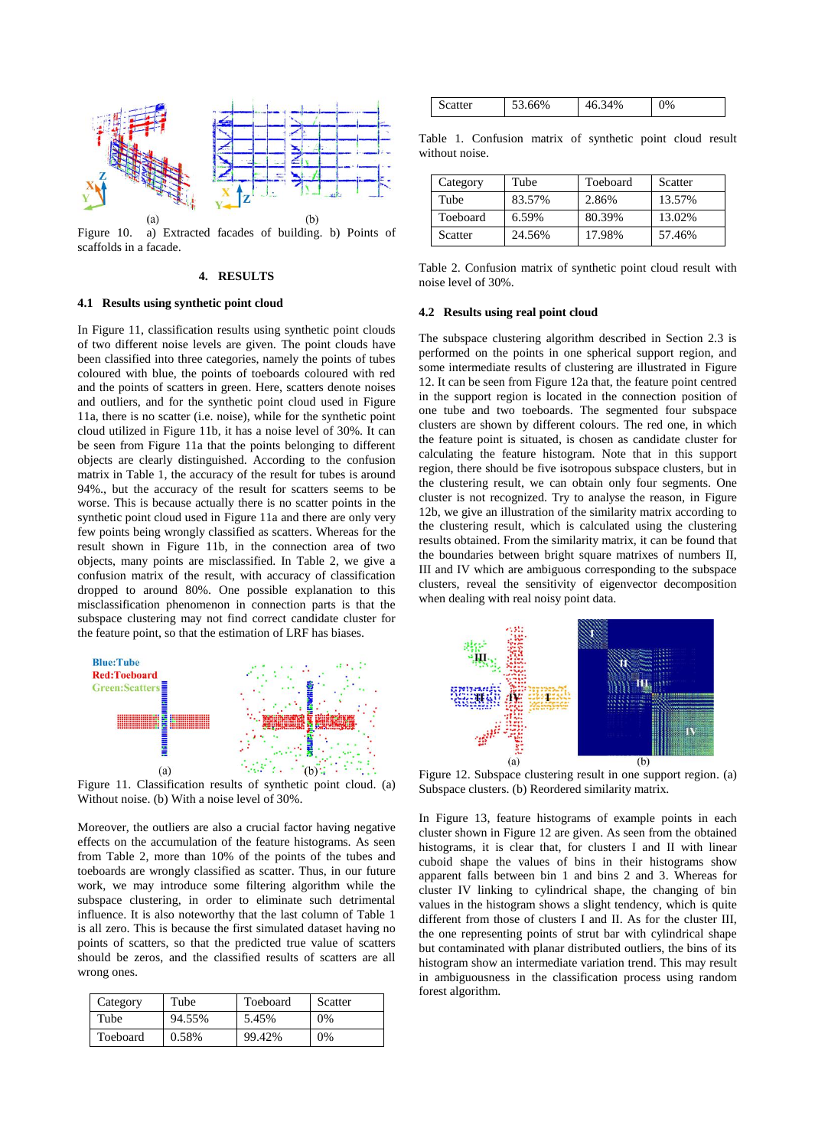

Figure 10. a) Extracted facades of building. b) Points of scaffolds in a facade.

# **4. RESULTS**

## **4.1 Results using synthetic point cloud**

In Figure 11, classification results using synthetic point clouds of two different noise levels are given. The point clouds have been classified into three categories, namely the points of tubes coloured with blue, the points of toeboards coloured with red and the points of scatters in green. Here, scatters denote noises and outliers, and for the synthetic point cloud used in Figure 11a, there is no scatter (i.e. noise), while for the synthetic point cloud utilized in Figure 11b, it has a noise level of 30%. It can be seen from Figure 11a that the points belonging to different objects are clearly distinguished. According to the confusion matrix in Table 1, the accuracy of the result for tubes is around 94%., but the accuracy of the result for scatters seems to be worse. This is because actually there is no scatter points in the synthetic point cloud used in Figure 11a and there are only very few points being wrongly classified as scatters. Whereas for the result shown in Figure 11b, in the connection area of two objects, many points are misclassified. In Table 2, we give a confusion matrix of the result, with accuracy of classification dropped to around 80%. One possible explanation to this misclassification phenomenon in connection parts is that the subspace clustering may not find correct candidate cluster for the feature point, so that the estimation of LRF has biases.



Figure 11. Classification results of synthetic point cloud. (a) Without noise. (b) With a noise level of 30%.

Moreover, the outliers are also a crucial factor having negative effects on the accumulation of the feature histograms. As seen from Table 2, more than 10% of the points of the tubes and toeboards are wrongly classified as scatter. Thus, in our future work, we may introduce some filtering algorithm while the subspace clustering, in order to eliminate such detrimental influence. It is also noteworthy that the last column of Table 1 is all zero. This is because the first simulated dataset having no points of scatters, so that the predicted true value of scatters should be zeros, and the classified results of scatters are all wrong ones.

| Category | Tube   | Toeboard | Scatter |
|----------|--------|----------|---------|
| Tube     | 94.55% | 5.45%    | $0\%$   |
| Toeboard | 0.58%  | 99.42%   | 0%      |

| <b>Scatter</b> | .66%<br>$\epsilon$ | 34%<br>46 | 0% |
|----------------|--------------------|-----------|----|
|                |                    |           |    |

Table 1. Confusion matrix of synthetic point cloud result without noise.

| Category | Tube   | Toeboard | Scatter |
|----------|--------|----------|---------|
| Tube     | 83.57% | 2.86%    | 13.57%  |
| Toeboard | 6.59%  | 80.39%   | 13.02%  |
| Scatter  | 24.56% | 17.98%   | 57.46%  |

Table 2. Confusion matrix of synthetic point cloud result with noise level of 30%.

#### **4.2 Results using real point cloud**

The subspace clustering algorithm described in Section 2.3 is performed on the points in one spherical support region, and some intermediate results of clustering are illustrated in Figure 12. It can be seen from Figure 12a that, the feature point centred in the support region is located in the connection position of one tube and two toeboards. The segmented four subspace clusters are shown by different colours. The red one, in which the feature point is situated, is chosen as candidate cluster for calculating the feature histogram. Note that in this support region, there should be five isotropous subspace clusters, but in the clustering result, we can obtain only four segments. One cluster is not recognized. Try to analyse the reason, in Figure 12b, we give an illustration of the similarity matrix according to the clustering result, which is calculated using the clustering results obtained. From the similarity matrix, it can be found that the boundaries between bright square matrixes of numbers II, III and IV which are ambiguous corresponding to the subspace clusters, reveal the sensitivity of eigenvector decomposition when dealing with real noisy point data.



Figure 12. Subspace clustering result in one support region. (a) Subspace clusters. (b) Reordered similarity matrix.

In Figure 13, feature histograms of example points in each cluster shown in Figure 12 are given. As seen from the obtained histograms, it is clear that, for clusters I and II with linear cuboid shape the values of bins in their histograms show apparent falls between bin 1 and bins 2 and 3. Whereas for cluster IV linking to cylindrical shape, the changing of bin values in the histogram shows a slight tendency, which is quite different from those of clusters I and II. As for the cluster III, the one representing points of strut bar with cylindrical shape but contaminated with planar distributed outliers, the bins of its histogram show an intermediate variation trend. This may result in ambiguousness in the classification process using random forest algorithm.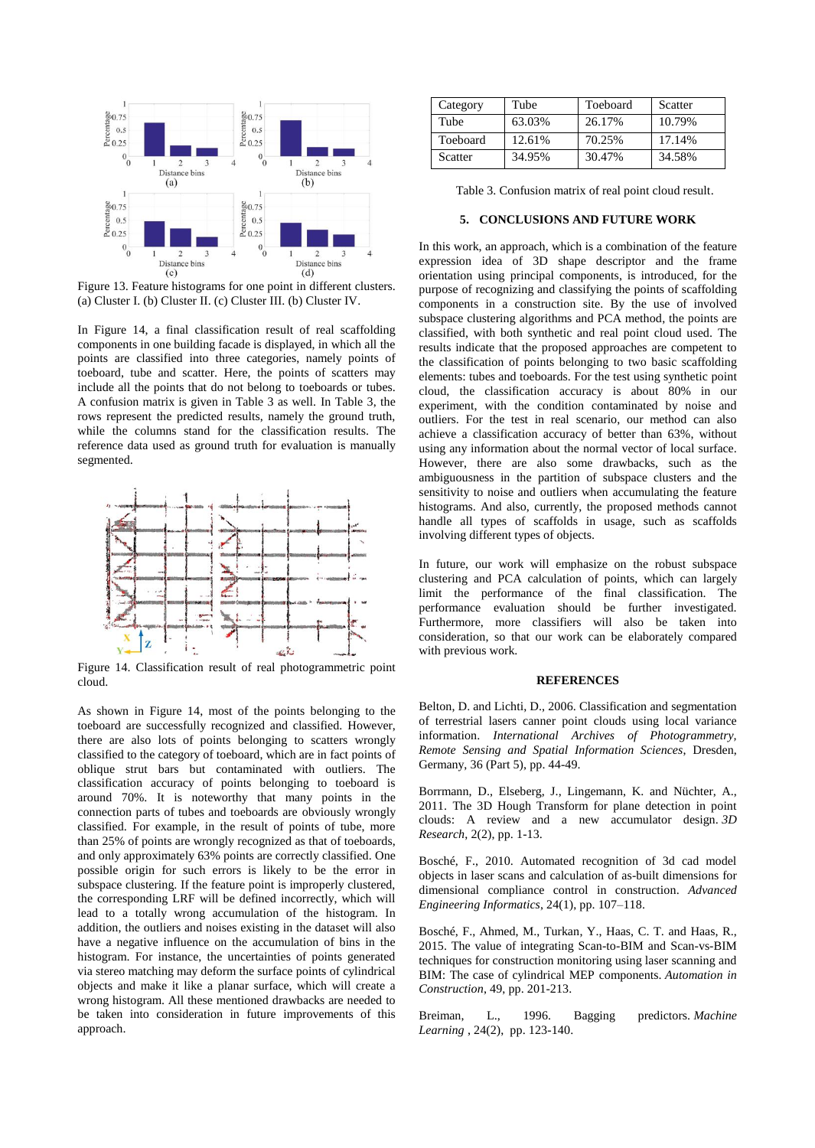

Figure 13. Feature histograms for one point in different clusters. (a) Cluster I. (b) Cluster II. (c) Cluster III. (b) Cluster IV.

In Figure 14, a final classification result of real scaffolding components in one building facade is displayed, in which all the points are classified into three categories, namely points of toeboard, tube and scatter. Here, the points of scatters may include all the points that do not belong to toeboards or tubes. A confusion matrix is given in Table 3 as well. In Table 3, the rows represent the predicted results, namely the ground truth, while the columns stand for the classification results. The reference data used as ground truth for evaluation is manually segmented.



Figure 14. Classification result of real photogrammetric point cloud.

As shown in Figure 14, most of the points belonging to the toeboard are successfully recognized and classified. However, there are also lots of points belonging to scatters wrongly classified to the category of toeboard, which are in fact points of oblique strut bars but contaminated with outliers. The classification accuracy of points belonging to toeboard is around 70%. It is noteworthy that many points in the connection parts of tubes and toeboards are obviously wrongly classified. For example, in the result of points of tube, more than 25% of points are wrongly recognized as that of toeboards, and only approximately 63% points are correctly classified. One possible origin for such errors is likely to be the error in subspace clustering. If the feature point is improperly clustered, the corresponding LRF will be defined incorrectly, which will lead to a totally wrong accumulation of the histogram. In addition, the outliers and noises existing in the dataset will also have a negative influence on the accumulation of bins in the histogram. For instance, the uncertainties of points generated via stereo matching may deform the surface points of cylindrical objects and make it like a planar surface, which will create a wrong histogram. All these mentioned drawbacks are needed to be taken into consideration in future improvements of this approach.

| Category | Tube   | Toeboard | Scatter |
|----------|--------|----------|---------|
| Tube     | 63.03% | 26.17%   | 10.79%  |
| Toeboard | 12.61% | 70.25%   | 17.14%  |
| Scatter  | 34.95% | 30.47%   | 34.58%  |

Table 3. Confusion matrix of real point cloud result.

# **5. CONCLUSIONS AND FUTURE WORK**

In this work, an approach, which is a combination of the feature expression idea of 3D shape descriptor and the frame orientation using principal components, is introduced, for the purpose of recognizing and classifying the points of scaffolding components in a construction site. By the use of involved subspace clustering algorithms and PCA method, the points are classified, with both synthetic and real point cloud used. The results indicate that the proposed approaches are competent to the classification of points belonging to two basic scaffolding elements: tubes and toeboards. For the test using synthetic point cloud, the classification accuracy is about 80% in our experiment, with the condition contaminated by noise and outliers. For the test in real scenario, our method can also achieve a classification accuracy of better than 63%, without using any information about the normal vector of local surface. However, there are also some drawbacks, such as the ambiguousness in the partition of subspace clusters and the sensitivity to noise and outliers when accumulating the feature histograms. And also, currently, the proposed methods cannot handle all types of scaffolds in usage, such as scaffolds involving different types of objects.

In future, our work will emphasize on the robust subspace clustering and PCA calculation of points, which can largely limit the performance of the final classification. The performance evaluation should be further investigated. Furthermore, more classifiers will also be taken into consideration, so that our work can be elaborately compared with previous work.

#### **REFERENCES**

Belton, D. and Lichti, D., 2006. Classification and segmentation of terrestrial lasers canner point clouds using local variance information. *International Archives of Photogrammetry, Remote Sensing and Spatial Information Sciences*, Dresden, Germany, 36 (Part 5), pp. 44-49.

Borrmann, D., Elseberg, J., Lingemann, K. and Nüchter, A., 2011. The 3D Hough Transform for plane detection in point clouds: A review and a new accumulator design. *3D Research*, 2(2), pp. 1-13.

Bosché, F., 2010. Automated recognition of 3d cad model objects in laser scans and calculation of as-built dimensions for dimensional compliance control in construction. *Advanced Engineering Informatics*, 24(1), pp. 107–118.

Bosché, F., Ahmed, M., Turkan, Y., Haas, C. T. and Haas, R., 2015. The value of integrating Scan-to-BIM and Scan-vs-BIM techniques for construction monitoring using laser scanning and BIM: The case of cylindrical MEP components. *Automation in Construction*, 49, pp. 201-213.

Breiman, L., 1996. Bagging predictors. *Machine Learning* , 24(2), pp. 123-140.